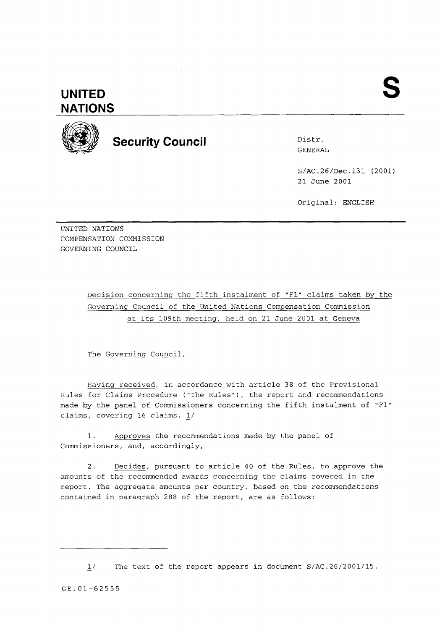## **UNITED NATIONS**



**Security Council Distress Security Council** 

GENERAL

S/AC.26/Dec.131 (2001) 21 June 2001

Original: ENGLISH

UNITED NATIONS COMPENSATION COMMISSION GOVERNING COUNCIL

> Decision concerning the fifth instalment of "F1" claims taken by the Governing Council of the United Nations Compensation Commission at its 109th meeting, held on 21 June 2001 at Geneva

The Governing Council,

Having received, in accordance with article 38 of the Provisional Rules for Claims Procedure ("the Rules"), the report and recommendations made by the panel of Commissioners concerning the fifth instalment of "Fl" claims, covering 16 claims,  $1/$ 

1. Approves the recommendations made by the panel of Commissioners, and, accordingly,

2. Decides, pursuant to article 40 of the Rules, to approve the amounts of the recommended awards concerning the claims covered in the report. The aggregate amounts per country, based on the recommendations contained in paragraph 288 of the report, are as follows:

 $1/$ The text of the report appears in document S/AC.26/2001/15.